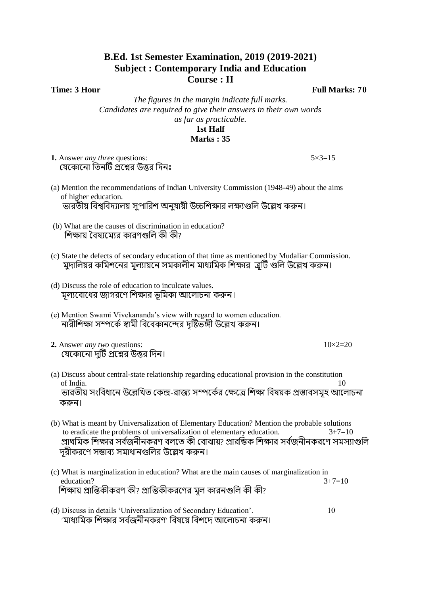## **B.Ed. 1st Semester Examination, 2019 (2019-2021) Subject : Contemporary India and Education Course : II**

**Time: 3 Hour** Full Marks: 70

*The figures in the margin indicate full marks. Candidates are required to give their answers in their own words as far as practicable.* **1st Half Marks : 35**

- **1.** Answer *any three* questions: 5×3=15 যেকোনো তিনটি প্রশ্নের উত্তর দিনঃ
- (a) Mention the recommendations of Indian University Commission (1948-49) about the aims of higher education. ভারতীয় বিশ্ববিদ্যালয় সপারিশ অনযায়ী উচ্চশিক্ষার লক্ষ্যগুলি উল্লেখ করুন।
- (b) What are the causes of discrimination in education? শিক্ষায় বৈষ্যমোর কারণগুলি কী কী?
- (c) State the defects of secondary education of that time as mentioned by Mudaliar Commission. মুদালিয়র কমিশনের মূল্যায়নে সমকালীন মাধ্যমিক শিক্ষার ব্রটি গুলি উল্লেখ করুন।
- (d) Discuss the role of education to inculcate values. মূল্যবোধের জাগরণে শিক্ষার ভূমিকা আলোচনা করুন।
- (e) Mention Swami Vivekananda's view with regard to women education. নারীশিক্ষা সম্পর্কে স্বামী বিবেকানন্দের দৃষ্টিভঙ্গী উল্লেখ করুন।
- **2.** Answer *any two* questions:  $10\times2=20$ যেকোনো দটি প্রশ্নের উত্তর দিন।
- 
- (a) Discuss about central-state relationship regarding educational provision in the constitution of India. 10 ভারতীয় সংবিধানে উল্লেখিত কেন্দ্র-রাজ্য সম্পর্কের ক্ষেত্রে শিক্ষা বিষয়ক প্রস্তাবসমহ আলোচনা করুন।
- (b) What is meant by Universalization of Elementary Education? Mention the probable solutions to eradicate the problems of universalization of elementary education.  $3+7=10$ প্রাথমিক শিক্ষার সর্বজনীনকরণ বলতে কী বোঝায়? প্রারম্ভিক শিক্ষার সর্বজনীনকরণে সমস্যাগুলি দরীকরণে সম্ভাব্য সমাধানগুলির উল্লেখ করুন।
- (c) What is marginalization in education? What are the main causes of marginalization in education?  $3+7=10$ শিক্ষায় প্রান্তিকীকরণ কী? প্রান্তিকীকরণের মল কারনগুলি কী কী?
- (d) Discuss in details 'Universalization of Secondary Education'. 10 'মাধ্যমিক শিক্ষার সর্বজনীনকরণ' বিষয়ে বিশদে আলোচনা করুন।